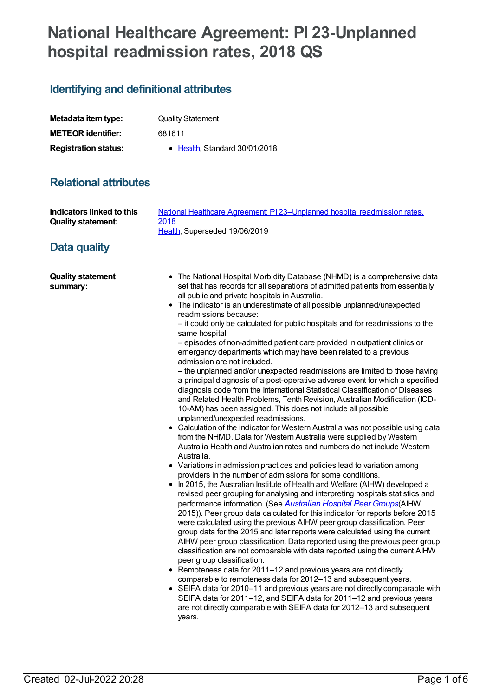# **National Healthcare Agreement: PI 23-Unplanned hospital readmission rates, 2018 QS**

## **Identifying and definitional attributes**

| Metadata item type:         | <b>Quality Statement</b>      |
|-----------------------------|-------------------------------|
| <b>METEOR identifier:</b>   | 681611                        |
| <b>Registration status:</b> | • Health, Standard 30/01/2018 |

## **Relational attributes**

| Indicators linked to this<br><b>Quality statement:</b> | National Healthcare Agreement: PI 23-Unplanned hospital readmission rates,<br>2018<br>Health, Superseded 19/06/2019                                                                                                                                                                                                                                                                                                                                                                                                                                                                                                                                                                                                                                                                                                                                                                                                                                                                                                                                                                                                                                                                                                                                                                                                                                                                                                                                                                                                                                                                                                                                                                                                                                                                                                                                                                                                                                                                                                                                                                                                                                                                                                                                                                                                                                                                                                                                                                                      |
|--------------------------------------------------------|----------------------------------------------------------------------------------------------------------------------------------------------------------------------------------------------------------------------------------------------------------------------------------------------------------------------------------------------------------------------------------------------------------------------------------------------------------------------------------------------------------------------------------------------------------------------------------------------------------------------------------------------------------------------------------------------------------------------------------------------------------------------------------------------------------------------------------------------------------------------------------------------------------------------------------------------------------------------------------------------------------------------------------------------------------------------------------------------------------------------------------------------------------------------------------------------------------------------------------------------------------------------------------------------------------------------------------------------------------------------------------------------------------------------------------------------------------------------------------------------------------------------------------------------------------------------------------------------------------------------------------------------------------------------------------------------------------------------------------------------------------------------------------------------------------------------------------------------------------------------------------------------------------------------------------------------------------------------------------------------------------------------------------------------------------------------------------------------------------------------------------------------------------------------------------------------------------------------------------------------------------------------------------------------------------------------------------------------------------------------------------------------------------------------------------------------------------------------------------------------------------|
| Data quality                                           |                                                                                                                                                                                                                                                                                                                                                                                                                                                                                                                                                                                                                                                                                                                                                                                                                                                                                                                                                                                                                                                                                                                                                                                                                                                                                                                                                                                                                                                                                                                                                                                                                                                                                                                                                                                                                                                                                                                                                                                                                                                                                                                                                                                                                                                                                                                                                                                                                                                                                                          |
| <b>Quality statement</b><br>summary:                   | • The National Hospital Morbidity Database (NHMD) is a comprehensive data<br>set that has records for all separations of admitted patients from essentially<br>all public and private hospitals in Australia.<br>• The indicator is an underestimate of all possible unplanned/unexpected<br>readmissions because:<br>- it could only be calculated for public hospitals and for readmissions to the<br>same hospital<br>- episodes of non-admitted patient care provided in outpatient clinics or<br>emergency departments which may have been related to a previous<br>admission are not included.<br>- the unplanned and/or unexpected readmissions are limited to those having<br>a principal diagnosis of a post-operative adverse event for which a specified<br>diagnosis code from the International Statistical Classification of Diseases<br>and Related Health Problems, Tenth Revision, Australian Modification (ICD-<br>10-AM) has been assigned. This does not include all possible<br>unplanned/unexpected readmissions.<br>• Calculation of the indicator for Western Australia was not possible using data<br>from the NHMD. Data for Western Australia were supplied by Western<br>Australia Health and Australian rates and numbers do not include Western<br>Australia.<br>• Variations in admission practices and policies lead to variation among<br>providers in the number of admissions for some conditions.<br>• In 2015, the Australian Institute of Health and Welfare (AIHW) developed a<br>revised peer grouping for analysing and interpreting hospitals statistics and<br>performance information. (See Australian Hospital Peer Groups(AIHW<br>2015)). Peer group data calculated for this indicator for reports before 2015<br>were calculated using the previous AIHW peer group classification. Peer<br>group data for the 2015 and later reports were calculated using the current<br>AIHW peer group classification. Data reported using the previous peer group<br>classification are not comparable with data reported using the current AIHW<br>peer group classification.<br>• Remoteness data for 2011-12 and previous years are not directly<br>comparable to remoteness data for 2012-13 and subsequent years.<br>• SEIFA data for 2010-11 and previous years are not directly comparable with<br>SEIFA data for 2011-12, and SEIFA data for 2011-12 and previous years<br>are not directly comparable with SEIFA data for 2012-13 and subsequent<br>years. |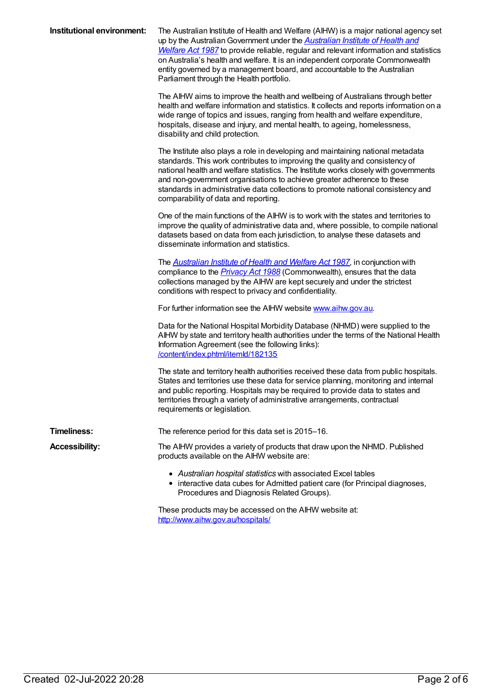| Institutional environment: | The Australian Institute of Health and Welfare (AIHW) is a major national agency set<br>up by the Australian Government under the <b>Australian Institute of Health and</b><br>Welfare Act 1987 to provide reliable, regular and relevant information and statistics<br>on Australia's health and welfare. It is an independent corporate Commonwealth<br>entity governed by a management board, and accountable to the Australian                            |
|----------------------------|---------------------------------------------------------------------------------------------------------------------------------------------------------------------------------------------------------------------------------------------------------------------------------------------------------------------------------------------------------------------------------------------------------------------------------------------------------------|
|                            | Parliament through the Health portfolio.<br>The AIHW aims to improve the health and wellbeing of Australians through better<br>health and welfare information and statistics. It collects and reports information on a<br>wide range of topics and issues, ranging from health and welfare expenditure,<br>hospitals, disease and injury, and mental health, to ageing, homelessness,<br>disability and child protection.                                     |
|                            | The Institute also plays a role in developing and maintaining national metadata<br>standards. This work contributes to improving the quality and consistency of<br>national health and welfare statistics. The Institute works closely with governments<br>and non-government organisations to achieve greater adherence to these<br>standards in administrative data collections to promote national consistency and<br>comparability of data and reporting. |
|                            | One of the main functions of the AIHW is to work with the states and territories to<br>improve the quality of administrative data and, where possible, to compile national<br>datasets based on data from each jurisdiction, to analyse these datasets and<br>disseminate information and statistics.                                                                                                                                                         |
|                            | The <b>Australian Institute of Health and Welfare Act 1987</b> , in conjunction with<br>compliance to the <i>Privacy Act 1988</i> (Commonwealth), ensures that the data<br>collections managed by the AIHW are kept securely and under the strictest<br>conditions with respect to privacy and confidentiality.                                                                                                                                               |
|                            | For further information see the AIHW website www.aihw.gov.au.                                                                                                                                                                                                                                                                                                                                                                                                 |
|                            | Data for the National Hospital Morbidity Database (NHMD) were supplied to the<br>AIHW by state and territory health authorities under the terms of the National Health<br>Information Agreement (see the following links):<br>/content/index.phtml/itemld/182135                                                                                                                                                                                              |
|                            | The state and territory health authorities received these data from public hospitals.<br>States and territories use these data for service planning, monitoring and internal<br>and public reporting. Hospitals may be required to provide data to states and<br>territories through a variety of administrative arrangements, contractual<br>requirements or legislation.                                                                                    |
| <b>Timeliness:</b>         | The reference period for this data set is 2015-16.                                                                                                                                                                                                                                                                                                                                                                                                            |
| <b>Accessibility:</b>      | The AIHW provides a variety of products that draw upon the NHMD. Published<br>products available on the AIHW website are:                                                                                                                                                                                                                                                                                                                                     |
|                            | • Australian hospital statistics with associated Excel tables<br>• interactive data cubes for Admitted patient care (for Principal diagnoses,<br>Procedures and Diagnosis Related Groups).                                                                                                                                                                                                                                                                    |

These products may be accessed on the AIHW website at: <http://www.aihw.gov.au/hospitals/>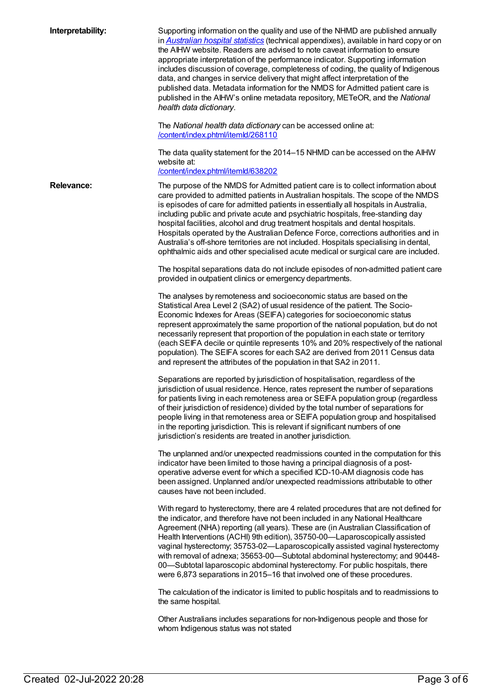| Interpretability: | Supporting information on the quality and use of the NHMD are published annually<br>in Australian hospital statistics (technical appendixes), available in hard copy or on<br>the AIHW website. Readers are advised to note caveat information to ensure<br>appropriate interpretation of the performance indicator. Supporting information<br>includes discussion of coverage, completeness of coding, the quality of Indigenous<br>data, and changes in service delivery that might affect interpretation of the<br>published data. Metadata information for the NMDS for Admitted patient care is<br>published in the AIHW's online metadata repository, METeOR, and the National<br>health data dictionary. |
|-------------------|-----------------------------------------------------------------------------------------------------------------------------------------------------------------------------------------------------------------------------------------------------------------------------------------------------------------------------------------------------------------------------------------------------------------------------------------------------------------------------------------------------------------------------------------------------------------------------------------------------------------------------------------------------------------------------------------------------------------|
|                   | The National health data dictionary can be accessed online at:<br>/content/index.phtml/itemld/268110                                                                                                                                                                                                                                                                                                                                                                                                                                                                                                                                                                                                            |
|                   | The data quality statement for the 2014–15 NHMD can be accessed on the AIHW<br>website at:<br>/content/index.phtml/itemld/638202                                                                                                                                                                                                                                                                                                                                                                                                                                                                                                                                                                                |
| <b>Relevance:</b> | The purpose of the NMDS for Admitted patient care is to collect information about<br>care provided to admitted patients in Australian hospitals. The scope of the NMDS<br>is episodes of care for admitted patients in essentially all hospitals in Australia,<br>including public and private acute and psychiatric hospitals, free-standing day<br>hospital facilities, alcohol and drug treatment hospitals and dental hospitals.<br>Hospitals operated by the Australian Defence Force, corrections authorities and in<br>Australia's off-shore territories are not included. Hospitals specialising in dental,<br>ophthalmic aids and other specialised acute medical or surgical care are included.       |
|                   | The hospital separations data do not include episodes of non-admitted patient care<br>provided in outpatient clinics or emergency departments.                                                                                                                                                                                                                                                                                                                                                                                                                                                                                                                                                                  |
|                   | The analyses by remoteness and socioeconomic status are based on the<br>Statistical Area Level 2 (SA2) of usual residence of the patient. The Socio-<br>Economic Indexes for Areas (SEIFA) categories for socioeconomic status<br>represent approximately the same proportion of the national population, but do not<br>necessarily represent that proportion of the population in each state or territory<br>(each SEIFA decile or quintile represents 10% and 20% respectively of the national<br>population). The SEIFA scores for each SA2 are derived from 2011 Census data<br>and represent the attributes of the population in that SA2 in 2011.                                                         |
|                   | Separations are reported by jurisdiction of hospitalisation, regardless of the<br>jurisdiction of usual residence. Hence, rates represent the number of separations<br>for patients living in each remoteness area or SEIFA population group (regardless<br>of their jurisdiction of residence) divided by the total number of separations for<br>people living in that remoteness area or SEIFA population group and hospitalised<br>in the reporting jurisdiction. This is relevant if significant numbers of one<br>jurisdiction's residents are treated in another jurisdiction.                                                                                                                            |
|                   | The unplanned and/or unexpected readmissions counted in the computation for this<br>indicator have been limited to those having a principal diagnosis of a post-<br>operative adverse event for which a specified ICD-10-AM diagnosis code has<br>been assigned. Unplanned and/or unexpected readmissions attributable to other<br>causes have not been included.                                                                                                                                                                                                                                                                                                                                               |
|                   | With regard to hysterectomy, there are 4 related procedures that are not defined for<br>the indicator, and therefore have not been included in any National Healthcare<br>Agreement (NHA) reporting (all years). These are (in Australian Classification of<br>Health Interventions (ACHI) 9th edition), 35750-00-Laparoscopically assisted<br>vaginal hysterectomy; 35753-02-Laparoscopically assisted vaginal hysterectomy<br>with removal of adnexa; 35653-00-Subtotal abdominal hysterectomy; and 90448-<br>00-Subtotal laparoscopic abdominal hysterectomy. For public hospitals, there<br>were 6,873 separations in 2015-16 that involved one of these procedures.                                        |
|                   | The calculation of the indicator is limited to public hospitals and to readmissions to<br>the same hospital.                                                                                                                                                                                                                                                                                                                                                                                                                                                                                                                                                                                                    |
|                   | Other Australians includes separations for non-Indigenous people and those for<br>whom Indigenous status was not stated                                                                                                                                                                                                                                                                                                                                                                                                                                                                                                                                                                                         |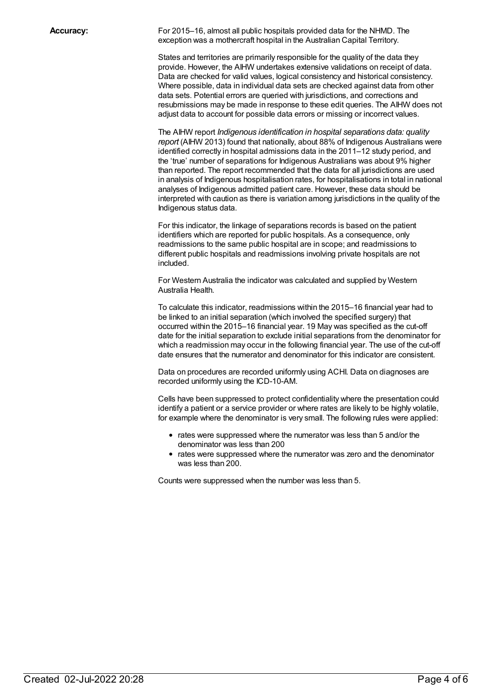**Accuracy:** For 2015–16, almost all public hospitals provided data for the NHMD. The exception was a mothercraft hospital in the Australian Capital Territory.

> States and territories are primarily responsible for the quality of the data they provide. However, the AIHW undertakes extensive validations on receipt of data. Data are checked for valid values, logical consistency and historical consistency. Where possible, data in individual data sets are checked against data from other data sets. Potential errors are queried with jurisdictions, and corrections and resubmissions may be made in response to these edit queries. The AIHW does not adjust data to account for possible data errors or missing or incorrect values.

> The AIHW report *Indigenous identification in hospital separations data: quality report* (AIHW 2013) found that nationally, about 88% of Indigenous Australians were identified correctly in hospital admissions data in the 2011–12 study period, and the 'true' number of separations for Indigenous Australians was about 9% higher than reported. The report recommended that the data for all jurisdictions are used in analysis of Indigenous hospitalisation rates, for hospitalisations in total in national analyses of Indigenous admitted patient care. However, these data should be interpreted with caution as there is variation among jurisdictions in the quality of the Indigenous status data.

For this indicator, the linkage of separations records is based on the patient identifiers which are reported for public hospitals. As a consequence, only readmissions to the same public hospital are in scope; and readmissions to different public hospitals and readmissions involving private hospitals are not included.

For Western Australia the indicator was calculated and supplied by Western Australia Health.

To calculate this indicator, readmissions within the 2015–16 financial year had to be linked to an initial separation (which involved the specified surgery) that occurred within the 2015–16 financial year. 19 May was specified as the cut-off date for the initial separation to exclude initial separations from the denominator for which a readmission may occur in the following financial year. The use of the cut-off date ensures that the numerator and denominator for this indicator are consistent.

Data on procedures are recorded uniformly using ACHI. Data on diagnoses are recorded uniformly using the ICD-10-AM.

Cells have been suppressed to protect confidentiality where the presentation could identify a patient or a service provider or where rates are likely to be highly volatile, for example where the denominator is very small. The following rules were applied:

- rates were suppressed where the numerator was less than 5 and/or the denominator was less than 200
- rates were suppressed where the numerator was zero and the denominator was less than 200.

Counts were suppressed when the number was less than 5.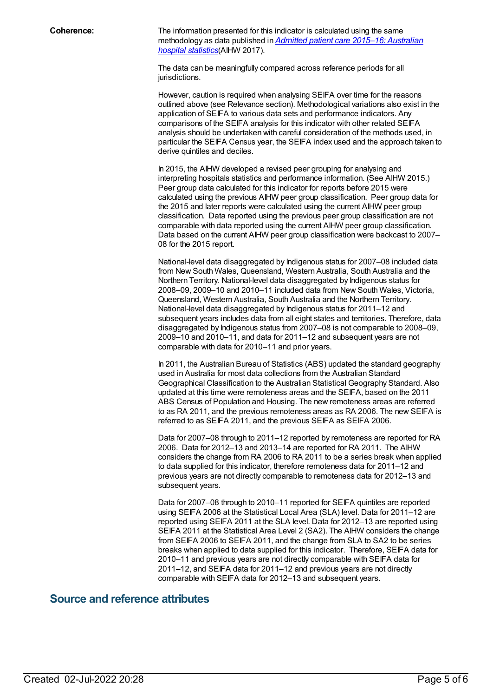**Coherence:** The information presented for this indicator is calculated using the same [methodology](https://www.aihw.gov.au/reports/hospitals/ahs-2015-16-admitted-patient-care/contents/table-of-contents) as data published in *Admitted patient care 2015–16: Australian hospital statistics*(AIHW 2017).

> The data can be meaningfully compared across reference periods for all jurisdictions.

However, caution is required when analysing SEIFA over time for the reasons outlined above (see Relevance section). Methodological variations also exist in the application of SEIFA to various data sets and performance indicators. Any comparisons of the SEIFA analysis for this indicator with other related SEIFA analysis should be undertaken with careful consideration of the methods used, in particular the SEIFA Census year, the SEIFA index used and the approach taken to derive quintiles and deciles.

In 2015, the AIHW developed a revised peer grouping for analysing and interpreting hospitals statistics and performance information. (See AIHW 2015.) Peer group data calculated for this indicator for reports before 2015 were calculated using the previous AIHW peer group classification. Peer group data for the 2015 and later reports were calculated using the current AIHW peer group classification. Data reported using the previous peer group classification are not comparable with data reported using the current AIHW peer group classification. Data based on the current AIHW peer group classification were backcast to 2007– 08 for the 2015 report.

National-level data disaggregated by Indigenous status for 2007–08 included data from New South Wales, Queensland, Western Australia, South Australia and the Northern Territory. National-level data disaggregated by Indigenous status for 2008–09, 2009–10 and 2010–11 included data from New South Wales, Victoria, Queensland, Western Australia, South Australia and the Northern Territory. National-level data disaggregated by Indigenous status for 2011–12 and subsequent years includes data from all eight states and territories. Therefore, data disaggregated by Indigenous status from 2007–08 is not comparable to 2008–09, 2009–10 and 2010–11, and data for 2011–12 and subsequent years are not comparable with data for 2010–11 and prior years.

In 2011, the Australian Bureau of Statistics (ABS) updated the standard geography used in Australia for most data collections from the Australian Standard Geographical Classification to the Australian Statistical Geography Standard. Also updated at this time were remoteness areas and the SEIFA, based on the 2011 ABS Census of Population and Housing. The new remoteness areas are referred to as RA 2011, and the previous remoteness areas as RA 2006. The new SEIFA is referred to as SEIFA 2011, and the previous SEIFA as SEIFA 2006.

Data for 2007–08 through to 2011–12 reported by remoteness are reported for RA 2006. Data for 2012–13 and 2013–14 are reported for RA 2011. The AIHW considers the change from RA 2006 to RA 2011 to be a series break when applied to data supplied for this indicator, therefore remoteness data for 2011–12 and previous years are not directly comparable to remoteness data for 2012–13 and subsequent years.

Data for 2007–08 through to 2010–11 reported for SEIFA quintiles are reported using SEIFA 2006 at the Statistical Local Area (SLA) level. Data for 2011-12 are reported using SEIFA 2011 at the SLA level. Data for 2012–13 are reported using SEIFA 2011 at the Statistical Area Level 2 (SA2). The AIHW considers the change from SEIFA 2006 to SEIFA 2011, and the change from SLA to SA2 to be series breaks when applied to data supplied for this indicator. Therefore, SEIFA data for 2010–11 and previous years are not directly comparable with SEIFA data for 2011–12, and SEIFA data for 2011–12 and previous years are not directly comparable with SEIFA data for 2012–13 and subsequent years.

#### **Source and reference attributes**